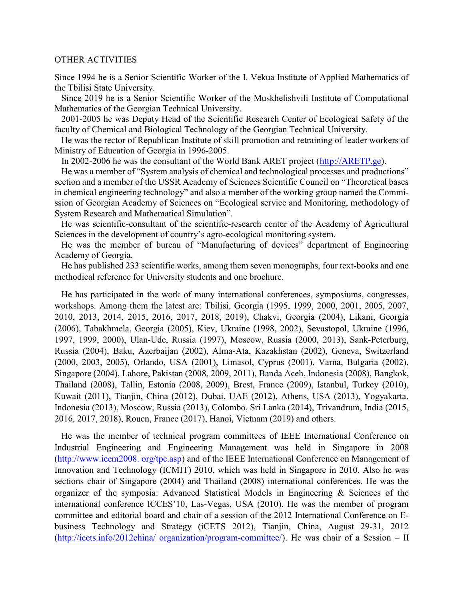## OTHER ACTIVITIES

Since 1994 he is a Senior Scientific Worker of the I. Vekua Institute of Applied Mathematics of the Tbilisi State University.

 Since 2019 he is a Senior Scientific Worker of the Muskhelishvili Institute of Computational Mathematics of the Georgian Technical University.

 2001-2005 he was Deputy Head of the Scientific Research Center of Ecological Safety of the faculty of Chemical and Biological Technology of the Georgian Technical University.

 He was the rector of Republican Institute of skill promotion and retraining of leader workers of Ministry of Education of Georgia in 1996-2005.

In 2002-2006 he was the consultant of the World Bank ARET project (http://ARETP.ge).

 He was a member of "System analysis of chemical and technological processes and productions" section and a member of the USSR Academy of Sciences Scientific Council on "Theoretical bases in chemical engineering technology" and also a member of the working group named the Commission of Georgian Academy of Sciences on "Ecological service and Monitoring, methodology of System Research and Mathematical Simulation".

 He was scientific-consultant of the scientific-research center of the Academy of Agricultural Sciences in the development of country's agro-ecological monitoring system.

 He was the member of bureau of "Manufacturing of devices" department of Engineering Academy of Georgia.

 He has published 233 scientific works, among them seven monographs, four text-books and one methodical reference for University students and one brochure.

 He has participated in the work of many international conferences, symposiums, congresses, workshops. Among them the latest are: Tbilisi, Georgia (1995, 1999, 2000, 2001, 2005, 2007, 2010, 2013, 2014, 2015, 2016, 2017, 2018, 2019), Chakvi, Georgia (2004), Likani, Georgia (2006), Tabakhmela, Georgia (2005), Kiev, Ukraine (1998, 2002), Sevastopol, Ukraine (1996, 1997, 1999, 2000), Ulan-Ude, Russia (1997), Moscow, Russia (2000, 2013), Sank-Peterburg, Russia (2004), Baku, Azerbaijan (2002), Alma-Ata, Kazakhstan (2002), Geneva, Switzerland (2000, 2003, 2005), Orlando, USA (2001), Limasol, Cyprus (2001), Varna, Bulgaria (2002), Singapore (2004), Lahore, Pakistan (2008, 2009, 2011), Banda Aceh, Indonesia (2008), Bangkok, Thailand (2008), Tallin, Estonia (2008, 2009), Brest, France (2009), Istanbul, Turkey (2010), Kuwait (2011), Tianjin, China (2012), Dubai, UAE (2012), Athens, USA (2013), Yogyakarta, Indonesia (2013), Moscow, Russia (2013), Colombo, Sri Lanka (2014), Trivandrum, India (2015, 2016, 2017, 2018), Rouen, France (2017), Hanoi, Vietnam (2019) and others.

 He was the member of technical program committees of IEEE International Conference on Industrial Engineering and Engineering Management was held in Singapore in 2008 (http://www.ieem2008. org/tpc.asp) and of the IEEE International Conference on Management of Innovation and Technology (ICMIT) 2010, which was held in Singapore in 2010. Also he was sections chair of Singapore (2004) and Thailand (2008) international conferences. He was the organizer of the symposia: Advanced Statistical Models in Engineering & Sciences of the international conference ICCES'10, Las-Vegas, USA (2010). He was the member of program committee and editorial board and chair of a session of the 2012 International Conference on Ebusiness Technology and Strategy (iCETS 2012), Tianjin, China, August 29-31, 2012 (http://icets.info/2012china/ organization/program-committee/). He was chair of a Session – II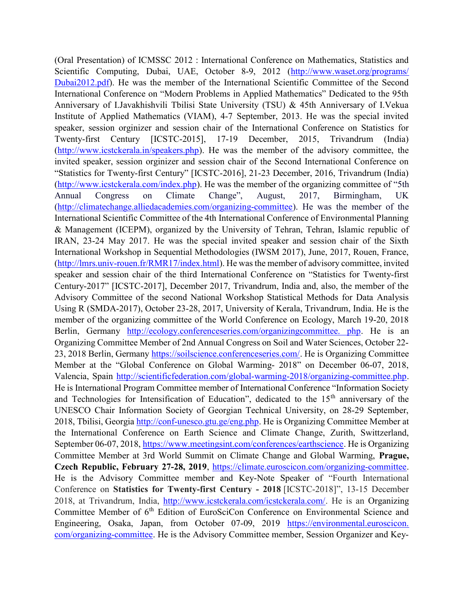(Oral Presentation) of ICMSSC 2012 : International Conference on Mathematics, Statistics and Scientific Computing, Dubai, UAE, October 8-9, 2012 (http://www.waset.org/programs/ Dubai2012.pdf). He was the member of the International Scientific Committee of the Second International Conference on "Modern Problems in Applied Mathematics" Dedicated to the 95th Anniversary of I.Javakhishvili Tbilisi State University (TSU) & 45th Anniversary of I.Vekua Institute of Applied Mathematics (VIAM), 4-7 September, 2013. He was the special invited speaker, session orginizer and session chair of the International Conference on Statistics for Twenty-first Century [ICSTC-2015], 17-19 December, 2015, Trivandrum (India) (http://www.icstckerala.in/speakers.php). He was the member of the advisory committee, the invited speaker, session orginizer and session chair of the Second International Conference on "Statistics for Twenty-first Century" [ICSTC-2016], 21-23 December, 2016, Trivandrum (India) (http://www.icstckerala.com/index.php). He was the member of the organizing committee of "5th Annual Congress on Climate Change", August, 2017, Birmingham, UK (http://climatechange.alliedacademies.com/organizing-committee). He was the member of the International Scientific Committee of the 4th International Conference of Environmental Planning & Management (ICEPM), organized by the University of Tehran, Tehran, Islamic republic of IRAN, 23-24 May 2017. He was the special invited speaker and session chair of the Sixth International Workshop in Sequential Methodologies (IWSM 2017), June, 2017, Rouen, France, (http://lmrs.univ-rouen.fr/RMR17/index.html). He was the member of advisory committee, invited speaker and session chair of the third International Conference on "Statistics for Twenty-first Century-2017" [ICSTC-2017], December 2017, Trivandrum, India and, also, the member of the Advisory Committee of the second National Workshop Statistical Methods for Data Analysis Using R (SMDA-2017), October 23-28, 2017, University of Kerala, Trivandrum, India. He is the member of the organizing committee of the World Conference on Ecology, March 19-20, 2018 Berlin, Germany http://ecology.conferenceseries.com/organizingcommittee. php. He is an Organizing Committee Member of 2nd Annual Congress on Soil and Water Sciences, October 22- 23, 2018 Berlin, Germany https://soilscience.conferenceseries.com/. He is Organizing Committee Member at the "Global Conference on Global Warming- 2018" on December 06-07, 2018, Valencia, Spain http://scientificfederation.com/global-warming-2018/organizing-committee.php. He is International Program Committee member of International Conference "Information Society and Technologies for Intensification of Education", dedicated to the 15<sup>th</sup> anniversary of the UNESCO Chair Information Society of Georgian Technical University, on 28-29 September, 2018, Tbilisi, Georgia http://conf-unesco.gtu.ge/eng.php. He is Organizing Committee Member at the International Conference on Earth Science and Climate Change, Zurith, Swittzerland, September 06-07, 2018, https://www.meetingsint.com/conferences/earthscience. He is Organizing Committee Member at 3rd World Summit on Climate Change and Global Warming, Prague, Czech Republic, February 27-28, 2019, https://climate.euroscicon.com/organizing-committee. He is the Advisory Committee member and Key-Note Speaker of "Fourth International Conference on Statistics for Twenty-first Century - 2018 [ICSTC-2018]", 13-15 December 2018, at Trivandrum, India, http://www.icstckerala.com/icstckerala.com/. He is an Organizing Committee Member of 6<sup>th</sup> Edition of EuroSciCon Conference on Environmental Science and Engineering, Osaka, Japan, from October 07-09, 2019 https://environmental.euroscicon. com/organizing-committee. He is the Advisory Committee member, Session Organizer and Key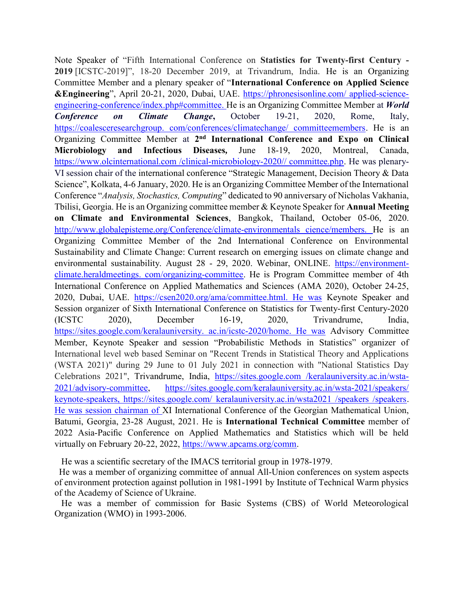Note Speaker of "Fifth International Conference on Statistics for Twenty-first Century - 2019 [ICSTC-2019]", 18-20 December 2019, at Trivandrum, India. He is an Organizing Committee Member and a plenary speaker of "International Conference on Applied Science &Engineering", April 20-21, 2020, Dubai, UAE. https://phronesisonline.com/ applied-scienceengineering-conference/index.php#committee. He is an Organizing Committee Member at World Conference on Climate Change, October 19-21, 2020, Rome, Italy, https://coalesceresearchgroup. com/conferences/climatechange/ committeemembers. He is an Organizing Committee Member at 2<sup>nd</sup> International Conference and Expo on Clinical Microbiology and Infectious Diseases, June 18-19, 2020, Montreal, Canada, https://www.olcinternational.com /clinical-microbiology-2020// committee.php. He was plenary-VI session chair of the international conference "Strategic Management, Decision Theory & Data Science", Kolkata, 4-6 January, 2020. He is an Organizing Committee Member of the International Conference "Analysis, Stochastics, Computing" dedicated to 90 anniversary of Nicholas Vakhania, Tbilisi, Georgia. He is an Organizing committee member & Keynote Speaker for Annual Meeting on Climate and Environmental Sciences, Bangkok, Thailand, October 05-06, 2020. http://www.globalepisteme.org/Conference/climate-environmentals cience/members. He is an Organizing Committee Member of the 2nd International Conference on Environmental Sustainability and Climate Change: Current research on emerging issues on climate change and environmental sustainability. August 28 - 29, 2020. Webinar, ONLINE. https://environmentclimate.heraldmeetings. com/organizing-committee. He is Program Committee member of 4th International Conference on Applied Mathematics and Sciences (AMA 2020), October 24-25, 2020, Dubai, UAE. https://csen2020.org/ama/committee.html. He was Keynote Speaker and Session organizer of Sixth International Conference on Statistics for Twenty-first Century-2020 (ICSTC 2020), December 16-19, 2020, Trivandrume, India, https://sites.google.com/keralauniversity. ac.in/icstc-2020/home. He was Advisory Committee Member, Keynote Speaker and session "Probabilistic Methods in Statistics" organizer of International level web based Seminar on "Recent Trends in Statistical Theory and Applications (WSTA 2021)" during 29 June to 01 July 2021 in connection with "National Statistics Day Celebrations 2021", Trivandrume, India, https://sites.google.com /keralauniversity.ac.in/wsta-2021/advisory-committee, https://sites.google.com/keralauniversity.ac.in/wsta-2021/speakers/ keynote-speakers, https://sites.google.com/ keralauniversity.ac.in/wsta2021 /speakers /speakers. He was session chairman of XI International Conference of the Georgian Mathematical Union, Batumi, Georgia, 23-28 August, 2021. He is International Technical Committee member of 2022 Asia-Pacific Conference on Applied Mathematics and Statistics which will be held virtually on February 20-22, 2022, https://www.apcams.org/comm.

He was a scientific secretary of the IMACS territorial group in 1978-1979.

 He was a member of organizing committee of annual All-Union conferences on system aspects of environment protection against pollution in 1981-1991 by Institute of Technical Warm physics of the Academy of Science of Ukraine.

 He was a member of commission for Basic Systems (CBS) of World Meteorological Organization (WMO) in 1993-2006.